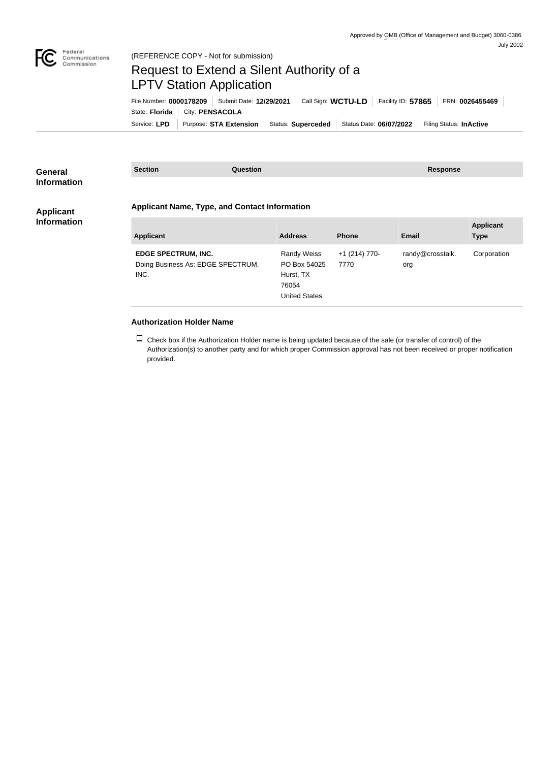

## Request to Extend a Silent Authority of a LPTV Station Application

Service: LPD | Purpose: STA Extension | Status: Superceded | Status Date: 06/07/2022 | Filing Status: InActive State: **Florida** City: **PENSACOLA** File Number: **0000178209** Submit Date: **12/29/2021** Call Sign: **WCTU-LD** Facility ID: **57865** FRN: **0026455469**

| <b>General</b><br><b>Information</b> | <b>Section</b>                                                          | <b>Question</b> |                                                                                  |                         | <b>Response</b>         |                                 |
|--------------------------------------|-------------------------------------------------------------------------|-----------------|----------------------------------------------------------------------------------|-------------------------|-------------------------|---------------------------------|
| <b>Applicant</b>                     | <b>Applicant Name, Type, and Contact Information</b>                    |                 |                                                                                  |                         |                         |                                 |
| <b>Information</b>                   | <b>Applicant</b>                                                        |                 | <b>Address</b>                                                                   | <b>Phone</b>            | Email                   | <b>Applicant</b><br><b>Type</b> |
|                                      | <b>EDGE SPECTRUM, INC.</b><br>Doing Business As: EDGE SPECTRUM,<br>INC. |                 | <b>Randy Weiss</b><br>PO Box 54025<br>Hurst, TX<br>76054<br><b>United States</b> | $+1$ (214) 770-<br>7770 | randy@crosstalk.<br>org | Corporation                     |
|                                      | <b>Authorization Holder Name</b>                                        |                 |                                                                                  |                         |                         |                                 |

 $\Box$  Check box if the Authorization Holder name is being updated because of the sale (or transfer of control) of the Authorization(s) to another party and for which proper Commission approval has not been received or proper notification provided.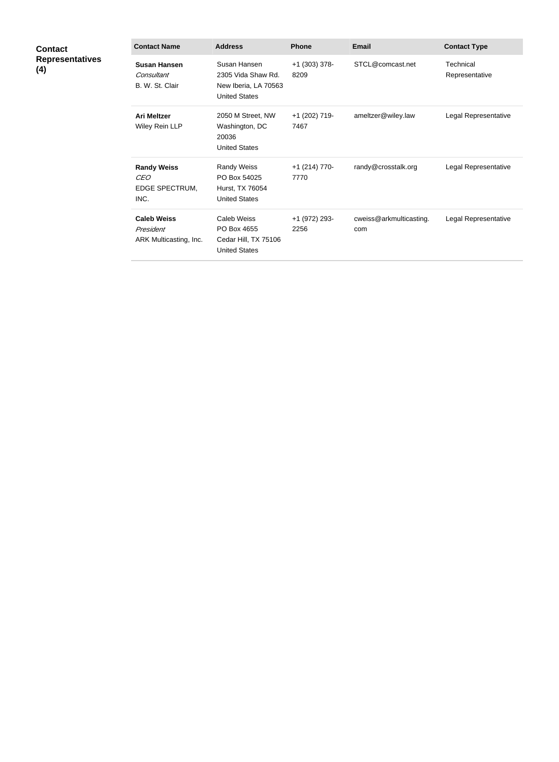| <b>Contact</b><br><b>Representatives</b><br>(4) | <b>Contact Name</b>                                        | <b>Address</b>                                                                     | <b>Phone</b>          | <b>Email</b>                   | <b>Contact Type</b>         |
|-------------------------------------------------|------------------------------------------------------------|------------------------------------------------------------------------------------|-----------------------|--------------------------------|-----------------------------|
|                                                 | <b>Susan Hansen</b><br>Consultant<br>B. W. St. Clair       | Susan Hansen<br>2305 Vida Shaw Rd.<br>New Iberia, LA 70563<br><b>United States</b> | +1 (303) 378-<br>8209 | STCL@comcast.net               | Technical<br>Representative |
|                                                 | <b>Ari Meltzer</b><br>Wiley Rein LLP                       | 2050 M Street, NW<br>Washington, DC<br>20036<br><b>United States</b>               | +1 (202) 719-<br>7467 | ameltzer@wiley.law             | Legal Representative        |
|                                                 | <b>Randy Weiss</b><br><b>CEO</b><br>EDGE SPECTRUM,<br>INC. | <b>Randy Weiss</b><br>PO Box 54025<br>Hurst, TX 76054<br><b>United States</b>      | +1 (214) 770-<br>7770 | randy@crosstalk.org            | Legal Representative        |
|                                                 | <b>Caleb Weiss</b><br>President<br>ARK Multicasting, Inc.  | Caleb Weiss<br>PO Box 4655<br>Cedar Hill, TX 75106<br><b>United States</b>         | +1 (972) 293-<br>2256 | cweiss@arkmulticasting.<br>com | Legal Representative        |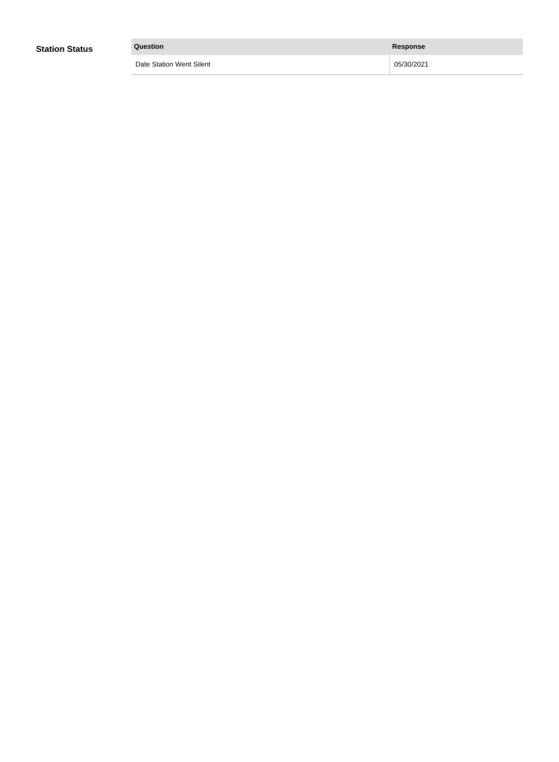| <b>Station Status</b> | Question                        | <b>Response</b> |
|-----------------------|---------------------------------|-----------------|
|                       | <b>Date Station Went Silent</b> | 05/30/2021      |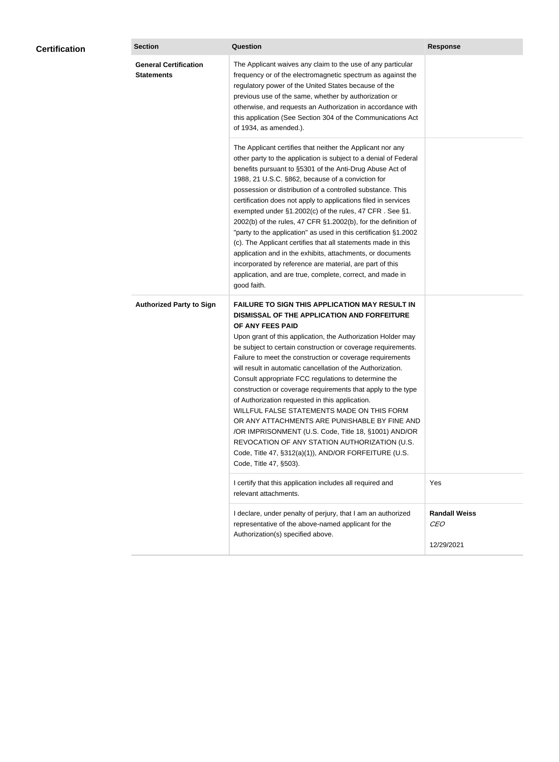| <b>Certification</b> | <b>Section</b>                                    | Question                                                                                                                                                                                                                                                                                                                                                                                                                                                                                                                                                                                                                                                                                                                                                                                                                                                  | <b>Response</b>                                  |  |
|----------------------|---------------------------------------------------|-----------------------------------------------------------------------------------------------------------------------------------------------------------------------------------------------------------------------------------------------------------------------------------------------------------------------------------------------------------------------------------------------------------------------------------------------------------------------------------------------------------------------------------------------------------------------------------------------------------------------------------------------------------------------------------------------------------------------------------------------------------------------------------------------------------------------------------------------------------|--------------------------------------------------|--|
|                      | <b>General Certification</b><br><b>Statements</b> | The Applicant waives any claim to the use of any particular<br>frequency or of the electromagnetic spectrum as against the<br>regulatory power of the United States because of the<br>previous use of the same, whether by authorization or<br>otherwise, and requests an Authorization in accordance with<br>this application (See Section 304 of the Communications Act<br>of 1934, as amended.).                                                                                                                                                                                                                                                                                                                                                                                                                                                       |                                                  |  |
|                      |                                                   | The Applicant certifies that neither the Applicant nor any<br>other party to the application is subject to a denial of Federal<br>benefits pursuant to §5301 of the Anti-Drug Abuse Act of<br>1988, 21 U.S.C. §862, because of a conviction for<br>possession or distribution of a controlled substance. This<br>certification does not apply to applications filed in services<br>exempted under §1.2002(c) of the rules, 47 CFR. See §1.<br>2002(b) of the rules, 47 CFR §1.2002(b), for the definition of<br>"party to the application" as used in this certification §1.2002<br>(c). The Applicant certifies that all statements made in this<br>application and in the exhibits, attachments, or documents<br>incorporated by reference are material, are part of this<br>application, and are true, complete, correct, and made in<br>good faith.   |                                                  |  |
|                      | <b>Authorized Party to Sign</b>                   | <b>FAILURE TO SIGN THIS APPLICATION MAY RESULT IN</b><br>DISMISSAL OF THE APPLICATION AND FORFEITURE<br>OF ANY FEES PAID<br>Upon grant of this application, the Authorization Holder may<br>be subject to certain construction or coverage requirements.<br>Failure to meet the construction or coverage requirements<br>will result in automatic cancellation of the Authorization.<br>Consult appropriate FCC regulations to determine the<br>construction or coverage requirements that apply to the type<br>of Authorization requested in this application.<br>WILLFUL FALSE STATEMENTS MADE ON THIS FORM<br>OR ANY ATTACHMENTS ARE PUNISHABLE BY FINE AND<br>/OR IMPRISONMENT (U.S. Code, Title 18, §1001) AND/OR<br>REVOCATION OF ANY STATION AUTHORIZATION (U.S.<br>Code, Title 47, §312(a)(1)), AND/OR FORFEITURE (U.S.<br>Code, Title 47, §503). |                                                  |  |
|                      |                                                   | I certify that this application includes all required and<br>relevant attachments.                                                                                                                                                                                                                                                                                                                                                                                                                                                                                                                                                                                                                                                                                                                                                                        | Yes                                              |  |
|                      |                                                   | I declare, under penalty of perjury, that I am an authorized<br>representative of the above-named applicant for the<br>Authorization(s) specified above.                                                                                                                                                                                                                                                                                                                                                                                                                                                                                                                                                                                                                                                                                                  | <b>Randall Weiss</b><br><b>CEO</b><br>12/29/2021 |  |
|                      |                                                   |                                                                                                                                                                                                                                                                                                                                                                                                                                                                                                                                                                                                                                                                                                                                                                                                                                                           |                                                  |  |